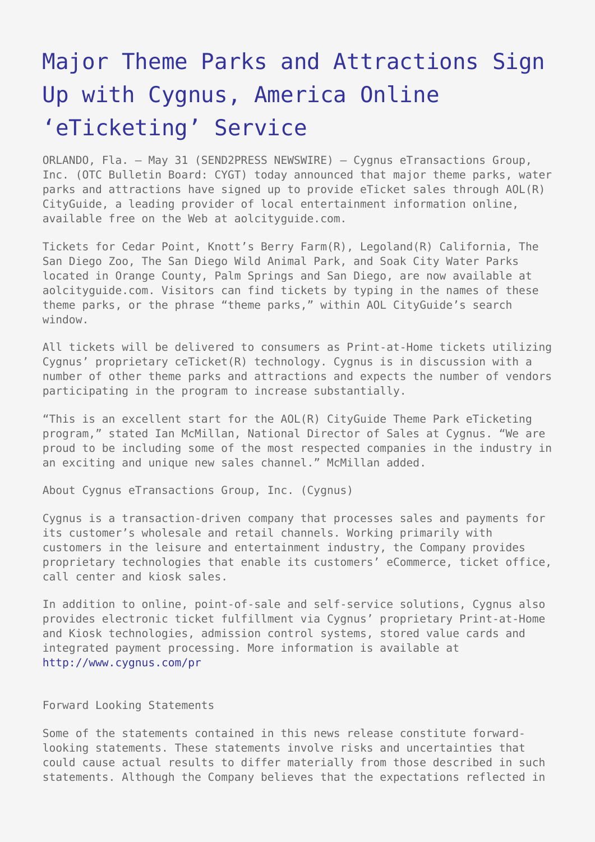## [Major Theme Parks and Attractions Sign](https://www.send2press.com/wire/2005-05-0531-007/) [Up with Cygnus, America Online](https://www.send2press.com/wire/2005-05-0531-007/) ['eTicketing' Service](https://www.send2press.com/wire/2005-05-0531-007/)

ORLANDO, Fla. – May 31 (SEND2PRESS NEWSWIRE) — Cygnus eTransactions Group, Inc. (OTC Bulletin Board: CYGT) today announced that major theme parks, water parks and attractions have signed up to provide eTicket sales through AOL(R) CityGuide, a leading provider of local entertainment information online, available free on the Web at aolcityguide.com.

Tickets for Cedar Point, Knott's Berry Farm(R), Legoland(R) California, The San Diego Zoo, The San Diego Wild Animal Park, and Soak City Water Parks located in Orange County, Palm Springs and San Diego, are now available at aolcityguide.com. Visitors can find tickets by typing in the names of these theme parks, or the phrase "theme parks," within AOL CityGuide's search window.

All tickets will be delivered to consumers as Print-at-Home tickets utilizing Cygnus' proprietary ceTicket(R) technology. Cygnus is in discussion with a number of other theme parks and attractions and expects the number of vendors participating in the program to increase substantially.

"This is an excellent start for the AOL(R) CityGuide Theme Park eTicketing program," stated Ian McMillan, National Director of Sales at Cygnus. "We are proud to be including some of the most respected companies in the industry in an exciting and unique new sales channel." McMillan added.

About Cygnus eTransactions Group, Inc. (Cygnus)

Cygnus is a transaction-driven company that processes sales and payments for its customer's wholesale and retail channels. Working primarily with customers in the leisure and entertainment industry, the Company provides proprietary technologies that enable its customers' eCommerce, ticket office, call center and kiosk sales.

In addition to online, point-of-sale and self-service solutions, Cygnus also provides electronic ticket fulfillment via Cygnus' proprietary Print-at-Home and Kiosk technologies, admission control systems, stored value cards and integrated payment processing. More information is available at <http://www.cygnus.com/pr>

Forward Looking Statements

Some of the statements contained in this news release constitute forwardlooking statements. These statements involve risks and uncertainties that could cause actual results to differ materially from those described in such statements. Although the Company believes that the expectations reflected in